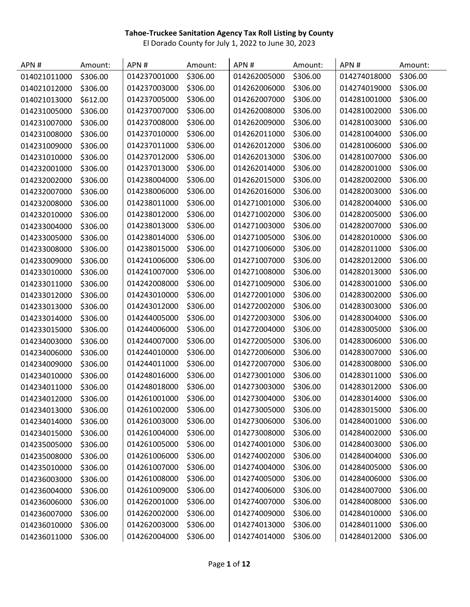| APN#         | Amount:  | APN#         | Amount:  | APN#         | Amount:  | APN#         | Amount:  |
|--------------|----------|--------------|----------|--------------|----------|--------------|----------|
| 014021011000 | \$306.00 | 014237001000 | \$306.00 | 014262005000 | \$306.00 | 014274018000 | \$306.00 |
| 014021012000 | \$306.00 | 014237003000 | \$306.00 | 014262006000 | \$306.00 | 014274019000 | \$306.00 |
| 014021013000 | \$612.00 | 014237005000 | \$306.00 | 014262007000 | \$306.00 | 014281001000 | \$306.00 |
| 014231005000 | \$306.00 | 014237007000 | \$306.00 | 014262008000 | \$306.00 | 014281002000 | \$306.00 |
| 014231007000 | \$306.00 | 014237008000 | \$306.00 | 014262009000 | \$306.00 | 014281003000 | \$306.00 |
| 014231008000 | \$306.00 | 014237010000 | \$306.00 | 014262011000 | \$306.00 | 014281004000 | \$306.00 |
| 014231009000 | \$306.00 | 014237011000 | \$306.00 | 014262012000 | \$306.00 | 014281006000 | \$306.00 |
| 014231010000 | \$306.00 | 014237012000 | \$306.00 | 014262013000 | \$306.00 | 014281007000 | \$306.00 |
| 014232001000 | \$306.00 | 014237013000 | \$306.00 | 014262014000 | \$306.00 | 014282001000 | \$306.00 |
| 014232002000 | \$306.00 | 014238004000 | \$306.00 | 014262015000 | \$306.00 | 014282002000 | \$306.00 |
| 014232007000 | \$306.00 | 014238006000 | \$306.00 | 014262016000 | \$306.00 | 014282003000 | \$306.00 |
| 014232008000 | \$306.00 | 014238011000 | \$306.00 | 014271001000 | \$306.00 | 014282004000 | \$306.00 |
| 014232010000 | \$306.00 | 014238012000 | \$306.00 | 014271002000 | \$306.00 | 014282005000 | \$306.00 |
| 014233004000 | \$306.00 | 014238013000 | \$306.00 | 014271003000 | \$306.00 | 014282007000 | \$306.00 |
| 014233005000 | \$306.00 | 014238014000 | \$306.00 | 014271005000 | \$306.00 | 014282010000 | \$306.00 |
| 014233008000 | \$306.00 | 014238015000 | \$306.00 | 014271006000 | \$306.00 | 014282011000 | \$306.00 |
| 014233009000 | \$306.00 | 014241006000 | \$306.00 | 014271007000 | \$306.00 | 014282012000 | \$306.00 |
| 014233010000 | \$306.00 | 014241007000 | \$306.00 | 014271008000 | \$306.00 | 014282013000 | \$306.00 |
| 014233011000 | \$306.00 | 014242008000 | \$306.00 | 014271009000 | \$306.00 | 014283001000 | \$306.00 |
| 014233012000 | \$306.00 | 014243010000 | \$306.00 | 014272001000 | \$306.00 | 014283002000 | \$306.00 |
| 014233013000 | \$306.00 | 014243012000 | \$306.00 | 014272002000 | \$306.00 | 014283003000 | \$306.00 |
| 014233014000 | \$306.00 | 014244005000 | \$306.00 | 014272003000 | \$306.00 | 014283004000 | \$306.00 |
| 014233015000 | \$306.00 | 014244006000 | \$306.00 | 014272004000 | \$306.00 | 014283005000 | \$306.00 |
| 014234003000 | \$306.00 | 014244007000 | \$306.00 | 014272005000 | \$306.00 | 014283006000 | \$306.00 |
| 014234006000 | \$306.00 | 014244010000 | \$306.00 | 014272006000 | \$306.00 | 014283007000 | \$306.00 |
| 014234009000 | \$306.00 | 014244011000 | \$306.00 | 014272007000 | \$306.00 | 014283008000 | \$306.00 |
| 014234010000 | \$306.00 | 014248016000 | \$306.00 | 014273001000 | \$306.00 | 014283011000 | \$306.00 |
| 014234011000 | \$306.00 | 014248018000 | \$306.00 | 014273003000 | \$306.00 | 014283012000 | \$306.00 |
| 014234012000 | \$306.00 | 014261001000 | \$306.00 | 014273004000 | \$306.00 | 014283014000 | \$306.00 |
| 014234013000 | \$306.00 | 014261002000 | \$306.00 | 014273005000 | \$306.00 | 014283015000 | \$306.00 |
| 014234014000 | \$306.00 | 014261003000 | \$306.00 | 014273006000 | \$306.00 | 014284001000 | \$306.00 |
| 014234015000 | \$306.00 | 014261004000 | \$306.00 | 014273008000 | \$306.00 | 014284002000 | \$306.00 |
| 014235005000 | \$306.00 | 014261005000 | \$306.00 | 014274001000 | \$306.00 | 014284003000 | \$306.00 |
| 014235008000 | \$306.00 | 014261006000 | \$306.00 | 014274002000 | \$306.00 | 014284004000 | \$306.00 |
| 014235010000 | \$306.00 | 014261007000 | \$306.00 | 014274004000 | \$306.00 | 014284005000 | \$306.00 |
| 014236003000 | \$306.00 | 014261008000 | \$306.00 | 014274005000 | \$306.00 | 014284006000 | \$306.00 |
| 014236004000 | \$306.00 | 014261009000 | \$306.00 | 014274006000 | \$306.00 | 014284007000 | \$306.00 |
| 014236006000 | \$306.00 | 014262001000 | \$306.00 | 014274007000 | \$306.00 | 014284008000 | \$306.00 |
| 014236007000 | \$306.00 | 014262002000 | \$306.00 | 014274009000 | \$306.00 | 014284010000 | \$306.00 |
| 014236010000 | \$306.00 | 014262003000 | \$306.00 | 014274013000 | \$306.00 | 014284011000 | \$306.00 |
| 014236011000 | \$306.00 | 014262004000 | \$306.00 | 014274014000 | \$306.00 | 014284012000 | \$306.00 |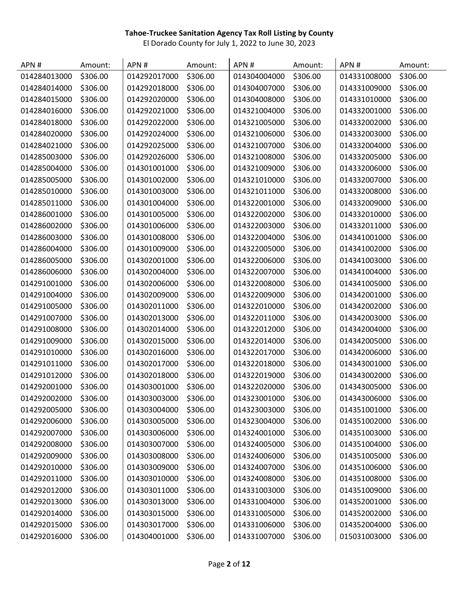| APN#         | Amount:  | APN#         | Amount:  | APN#         | Amount:  | APN#         | Amount:  |
|--------------|----------|--------------|----------|--------------|----------|--------------|----------|
| 014284013000 | \$306.00 | 014292017000 | \$306.00 | 014304004000 | \$306.00 | 014331008000 | \$306.00 |
| 014284014000 | \$306.00 | 014292018000 | \$306.00 | 014304007000 | \$306.00 | 014331009000 | \$306.00 |
| 014284015000 | \$306.00 | 014292020000 | \$306.00 | 014304008000 | \$306.00 | 014331010000 | \$306.00 |
| 014284016000 | \$306.00 | 014292021000 | \$306.00 | 014321004000 | \$306.00 | 014332001000 | \$306.00 |
| 014284018000 | \$306.00 | 014292022000 | \$306.00 | 014321005000 | \$306.00 | 014332002000 | \$306.00 |
| 014284020000 | \$306.00 | 014292024000 | \$306.00 | 014321006000 | \$306.00 | 014332003000 | \$306.00 |
| 014284021000 | \$306.00 | 014292025000 | \$306.00 | 014321007000 | \$306.00 | 014332004000 | \$306.00 |
| 014285003000 | \$306.00 | 014292026000 | \$306.00 | 014321008000 | \$306.00 | 014332005000 | \$306.00 |
| 014285004000 | \$306.00 | 014301001000 | \$306.00 | 014321009000 | \$306.00 | 014332006000 | \$306.00 |
| 014285005000 | \$306.00 | 014301002000 | \$306.00 | 014321010000 | \$306.00 | 014332007000 | \$306.00 |
| 014285010000 | \$306.00 | 014301003000 | \$306.00 | 014321011000 | \$306.00 | 014332008000 | \$306.00 |
| 014285011000 | \$306.00 | 014301004000 | \$306.00 | 014322001000 | \$306.00 | 014332009000 | \$306.00 |
| 014286001000 | \$306.00 | 014301005000 | \$306.00 | 014322002000 | \$306.00 | 014332010000 | \$306.00 |
| 014286002000 | \$306.00 | 014301006000 | \$306.00 | 014322003000 | \$306.00 | 014332011000 | \$306.00 |
| 014286003000 | \$306.00 | 014301008000 | \$306.00 | 014322004000 | \$306.00 | 014341001000 | \$306.00 |
| 014286004000 | \$306.00 | 014301009000 | \$306.00 | 014322005000 | \$306.00 | 014341002000 | \$306.00 |
| 014286005000 | \$306.00 | 014302001000 | \$306.00 | 014322006000 | \$306.00 | 014341003000 | \$306.00 |
| 014286006000 | \$306.00 | 014302004000 | \$306.00 | 014322007000 | \$306.00 | 014341004000 | \$306.00 |
| 014291001000 | \$306.00 | 014302006000 | \$306.00 | 014322008000 | \$306.00 | 014341005000 | \$306.00 |
| 014291004000 | \$306.00 | 014302009000 | \$306.00 | 014322009000 | \$306.00 | 014342001000 | \$306.00 |
| 014291005000 | \$306.00 | 014302011000 | \$306.00 | 014322010000 | \$306.00 | 014342002000 | \$306.00 |
| 014291007000 | \$306.00 | 014302013000 | \$306.00 | 014322011000 | \$306.00 | 014342003000 | \$306.00 |
| 014291008000 | \$306.00 | 014302014000 | \$306.00 | 014322012000 | \$306.00 | 014342004000 | \$306.00 |
| 014291009000 | \$306.00 | 014302015000 | \$306.00 | 014322014000 | \$306.00 | 014342005000 | \$306.00 |
| 014291010000 | \$306.00 | 014302016000 | \$306.00 | 014322017000 | \$306.00 | 014342006000 | \$306.00 |
| 014291011000 | \$306.00 | 014302017000 | \$306.00 | 014322018000 | \$306.00 | 014343001000 | \$306.00 |
| 014291012000 | \$306.00 | 014302018000 | \$306.00 | 014322019000 | \$306.00 | 014343002000 | \$306.00 |
| 014292001000 | \$306.00 | 014303001000 | \$306.00 | 014322020000 | \$306.00 | 014343005000 | \$306.00 |
| 014292002000 | \$306.00 | 014303003000 | \$306.00 | 014323001000 | \$306.00 | 014343006000 | \$306.00 |
| 014292005000 | \$306.00 | 014303004000 | \$306.00 | 014323003000 | \$306.00 | 014351001000 | \$306.00 |
| 014292006000 | \$306.00 | 014303005000 | \$306.00 | 014323004000 | \$306.00 | 014351002000 | \$306.00 |
| 014292007000 | \$306.00 | 014303006000 | \$306.00 | 014324001000 | \$306.00 | 014351003000 | \$306.00 |
| 014292008000 | \$306.00 | 014303007000 | \$306.00 | 014324005000 | \$306.00 | 014351004000 | \$306.00 |
| 014292009000 | \$306.00 | 014303008000 | \$306.00 | 014324006000 | \$306.00 | 014351005000 | \$306.00 |
| 014292010000 | \$306.00 | 014303009000 | \$306.00 | 014324007000 | \$306.00 | 014351006000 | \$306.00 |
| 014292011000 | \$306.00 | 014303010000 | \$306.00 | 014324008000 | \$306.00 | 014351008000 | \$306.00 |
| 014292012000 | \$306.00 | 014303011000 | \$306.00 | 014331003000 | \$306.00 | 014351009000 | \$306.00 |
| 014292013000 | \$306.00 | 014303013000 | \$306.00 | 014331004000 | \$306.00 | 014352001000 | \$306.00 |
| 014292014000 | \$306.00 | 014303015000 | \$306.00 | 014331005000 | \$306.00 | 014352002000 | \$306.00 |
| 014292015000 | \$306.00 | 014303017000 | \$306.00 | 014331006000 | \$306.00 | 014352004000 | \$306.00 |
| 014292016000 | \$306.00 | 014304001000 | \$306.00 | 014331007000 | \$306.00 | 015031003000 | \$306.00 |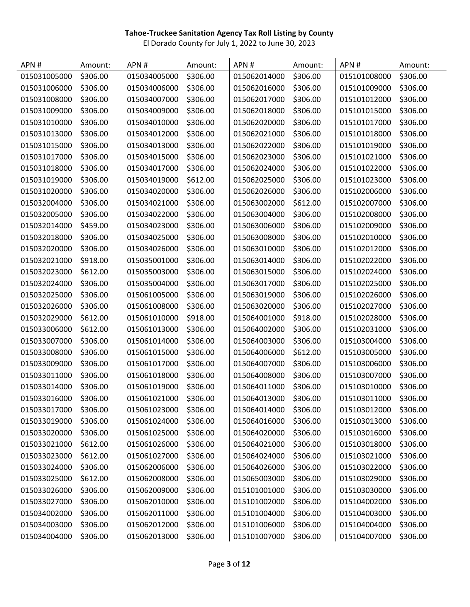| APN#         | Amount:  | APN#         | Amount:  | APN#         | Amount:  | APN#         | Amount:  |
|--------------|----------|--------------|----------|--------------|----------|--------------|----------|
| 015031005000 | \$306.00 | 015034005000 | \$306.00 | 015062014000 | \$306.00 | 015101008000 | \$306.00 |
| 015031006000 | \$306.00 | 015034006000 | \$306.00 | 015062016000 | \$306.00 | 015101009000 | \$306.00 |
| 015031008000 | \$306.00 | 015034007000 | \$306.00 | 015062017000 | \$306.00 | 015101012000 | \$306.00 |
| 015031009000 | \$306.00 | 015034009000 | \$306.00 | 015062018000 | \$306.00 | 015101015000 | \$306.00 |
| 015031010000 | \$306.00 | 015034010000 | \$306.00 | 015062020000 | \$306.00 | 015101017000 | \$306.00 |
| 015031013000 | \$306.00 | 015034012000 | \$306.00 | 015062021000 | \$306.00 | 015101018000 | \$306.00 |
| 015031015000 | \$306.00 | 015034013000 | \$306.00 | 015062022000 | \$306.00 | 015101019000 | \$306.00 |
| 015031017000 | \$306.00 | 015034015000 | \$306.00 | 015062023000 | \$306.00 | 015101021000 | \$306.00 |
| 015031018000 | \$306.00 | 015034017000 | \$306.00 | 015062024000 | \$306.00 | 015101022000 | \$306.00 |
| 015031019000 | \$306.00 | 015034019000 | \$612.00 | 015062025000 | \$306.00 | 015101023000 | \$306.00 |
| 015031020000 | \$306.00 | 015034020000 | \$306.00 | 015062026000 | \$306.00 | 015102006000 | \$306.00 |
| 015032004000 | \$306.00 | 015034021000 | \$306.00 | 015063002000 | \$612.00 | 015102007000 | \$306.00 |
| 015032005000 | \$306.00 | 015034022000 | \$306.00 | 015063004000 | \$306.00 | 015102008000 | \$306.00 |
| 015032014000 | \$459.00 | 015034023000 | \$306.00 | 015063006000 | \$306.00 | 015102009000 | \$306.00 |
| 015032018000 | \$306.00 | 015034025000 | \$306.00 | 015063008000 | \$306.00 | 015102010000 | \$306.00 |
| 015032020000 | \$306.00 | 015034026000 | \$306.00 | 015063010000 | \$306.00 | 015102012000 | \$306.00 |
| 015032021000 | \$918.00 | 015035001000 | \$306.00 | 015063014000 | \$306.00 | 015102022000 | \$306.00 |
| 015032023000 | \$612.00 | 015035003000 | \$306.00 | 015063015000 | \$306.00 | 015102024000 | \$306.00 |
| 015032024000 | \$306.00 | 015035004000 | \$306.00 | 015063017000 | \$306.00 | 015102025000 | \$306.00 |
| 015032025000 | \$306.00 | 015061005000 | \$306.00 | 015063019000 | \$306.00 | 015102026000 | \$306.00 |
| 015032026000 | \$306.00 | 015061008000 | \$306.00 | 015063020000 | \$306.00 | 015102027000 | \$306.00 |
| 015032029000 | \$612.00 | 015061010000 | \$918.00 | 015064001000 | \$918.00 | 015102028000 | \$306.00 |
| 015033006000 | \$612.00 | 015061013000 | \$306.00 | 015064002000 | \$306.00 | 015102031000 | \$306.00 |
| 015033007000 | \$306.00 | 015061014000 | \$306.00 | 015064003000 | \$306.00 | 015103004000 | \$306.00 |
| 015033008000 | \$306.00 | 015061015000 | \$306.00 | 015064006000 | \$612.00 | 015103005000 | \$306.00 |
| 015033009000 | \$306.00 | 015061017000 | \$306.00 | 015064007000 | \$306.00 | 015103006000 | \$306.00 |
| 015033011000 | \$306.00 | 015061018000 | \$306.00 | 015064008000 | \$306.00 | 015103007000 | \$306.00 |
| 015033014000 | \$306.00 | 015061019000 | \$306.00 | 015064011000 | \$306.00 | 015103010000 | \$306.00 |
| 015033016000 | \$306.00 | 015061021000 | \$306.00 | 015064013000 | \$306.00 | 015103011000 | \$306.00 |
| 015033017000 | \$306.00 | 015061023000 | \$306.00 | 015064014000 | \$306.00 | 015103012000 | \$306.00 |
| 015033019000 | \$306.00 | 015061024000 | \$306.00 | 015064016000 | \$306.00 | 015103013000 | \$306.00 |
| 015033020000 | \$306.00 | 015061025000 | \$306.00 | 015064020000 | \$306.00 | 015103016000 | \$306.00 |
| 015033021000 | \$612.00 | 015061026000 | \$306.00 | 015064021000 | \$306.00 | 015103018000 | \$306.00 |
| 015033023000 | \$612.00 | 015061027000 | \$306.00 | 015064024000 | \$306.00 | 015103021000 | \$306.00 |
| 015033024000 | \$306.00 | 015062006000 | \$306.00 | 015064026000 | \$306.00 | 015103022000 | \$306.00 |
| 015033025000 | \$612.00 | 015062008000 | \$306.00 | 015065003000 | \$306.00 | 015103029000 | \$306.00 |
| 015033026000 | \$306.00 | 015062009000 | \$306.00 | 015101001000 | \$306.00 | 015103030000 | \$306.00 |
| 015033027000 | \$306.00 | 015062010000 | \$306.00 | 015101002000 | \$306.00 | 015104002000 | \$306.00 |
| 015034002000 | \$306.00 | 015062011000 | \$306.00 | 015101004000 | \$306.00 | 015104003000 | \$306.00 |
| 015034003000 | \$306.00 | 015062012000 | \$306.00 | 015101006000 | \$306.00 | 015104004000 | \$306.00 |
| 015034004000 | \$306.00 | 015062013000 | \$306.00 | 015101007000 | \$306.00 | 015104007000 | \$306.00 |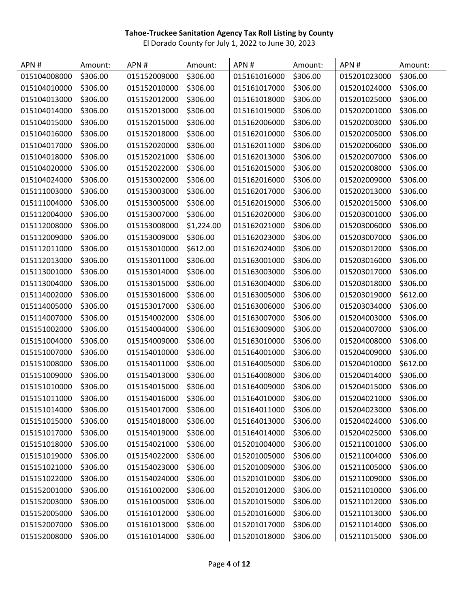| APN#         | Amount:  | APN#         | Amount:    | APN#         | Amount:  | APN#         | Amount:  |
|--------------|----------|--------------|------------|--------------|----------|--------------|----------|
| 015104008000 | \$306.00 | 015152009000 | \$306.00   | 015161016000 | \$306.00 | 015201023000 | \$306.00 |
| 015104010000 | \$306.00 | 015152010000 | \$306.00   | 015161017000 | \$306.00 | 015201024000 | \$306.00 |
| 015104013000 | \$306.00 | 015152012000 | \$306.00   | 015161018000 | \$306.00 | 015201025000 | \$306.00 |
| 015104014000 | \$306.00 | 015152013000 | \$306.00   | 015161019000 | \$306.00 | 015202001000 | \$306.00 |
| 015104015000 | \$306.00 | 015152015000 | \$306.00   | 015162006000 | \$306.00 | 015202003000 | \$306.00 |
| 015104016000 | \$306.00 | 015152018000 | \$306.00   | 015162010000 | \$306.00 | 015202005000 | \$306.00 |
| 015104017000 | \$306.00 | 015152020000 | \$306.00   | 015162011000 | \$306.00 | 015202006000 | \$306.00 |
| 015104018000 | \$306.00 | 015152021000 | \$306.00   | 015162013000 | \$306.00 | 015202007000 | \$306.00 |
| 015104020000 | \$306.00 | 015152022000 | \$306.00   | 015162015000 | \$306.00 | 015202008000 | \$306.00 |
| 015104024000 | \$306.00 | 015153002000 | \$306.00   | 015162016000 | \$306.00 | 015202009000 | \$306.00 |
| 015111003000 | \$306.00 | 015153003000 | \$306.00   | 015162017000 | \$306.00 | 015202013000 | \$306.00 |
| 015111004000 | \$306.00 | 015153005000 | \$306.00   | 015162019000 | \$306.00 | 015202015000 | \$306.00 |
| 015112004000 | \$306.00 | 015153007000 | \$306.00   | 015162020000 | \$306.00 | 015203001000 | \$306.00 |
| 015112008000 | \$306.00 | 015153008000 | \$1,224.00 | 015162021000 | \$306.00 | 015203006000 | \$306.00 |
| 015112009000 | \$306.00 | 015153009000 | \$306.00   | 015162023000 | \$306.00 | 015203007000 | \$306.00 |
| 015112011000 | \$306.00 | 015153010000 | \$612.00   | 015162024000 | \$306.00 | 015203012000 | \$306.00 |
| 015112013000 | \$306.00 | 015153011000 | \$306.00   | 015163001000 | \$306.00 | 015203016000 | \$306.00 |
| 015113001000 | \$306.00 | 015153014000 | \$306.00   | 015163003000 | \$306.00 | 015203017000 | \$306.00 |
| 015113004000 | \$306.00 | 015153015000 | \$306.00   | 015163004000 | \$306.00 | 015203018000 | \$306.00 |
| 015114002000 | \$306.00 | 015153016000 | \$306.00   | 015163005000 | \$306.00 | 015203019000 | \$612.00 |
| 015114005000 | \$306.00 | 015153017000 | \$306.00   | 015163006000 | \$306.00 | 015203034000 | \$306.00 |
| 015114007000 | \$306.00 | 015154002000 | \$306.00   | 015163007000 | \$306.00 | 015204003000 | \$306.00 |
| 015151002000 | \$306.00 | 015154004000 | \$306.00   | 015163009000 | \$306.00 | 015204007000 | \$306.00 |
| 015151004000 | \$306.00 | 015154009000 | \$306.00   | 015163010000 | \$306.00 | 015204008000 | \$306.00 |
| 015151007000 | \$306.00 | 015154010000 | \$306.00   | 015164001000 | \$306.00 | 015204009000 | \$306.00 |
| 015151008000 | \$306.00 | 015154011000 | \$306.00   | 015164005000 | \$306.00 | 015204010000 | \$612.00 |
| 015151009000 | \$306.00 | 015154013000 | \$306.00   | 015164008000 | \$306.00 | 015204014000 | \$306.00 |
| 015151010000 | \$306.00 | 015154015000 | \$306.00   | 015164009000 | \$306.00 | 015204015000 | \$306.00 |
| 015151011000 | \$306.00 | 015154016000 | \$306.00   | 015164010000 | \$306.00 | 015204021000 | \$306.00 |
| 015151014000 | \$306.00 | 015154017000 | \$306.00   | 015164011000 | \$306.00 | 015204023000 | \$306.00 |
| 015151015000 | \$306.00 | 015154018000 | \$306.00   | 015164013000 | \$306.00 | 015204024000 | \$306.00 |
| 015151017000 | \$306.00 | 015154019000 | \$306.00   | 015164014000 | \$306.00 | 015204025000 | \$306.00 |
| 015151018000 | \$306.00 | 015154021000 | \$306.00   | 015201004000 | \$306.00 | 015211001000 | \$306.00 |
| 015151019000 | \$306.00 | 015154022000 | \$306.00   | 015201005000 | \$306.00 | 015211004000 | \$306.00 |
| 015151021000 | \$306.00 | 015154023000 | \$306.00   | 015201009000 | \$306.00 | 015211005000 | \$306.00 |
| 015151022000 | \$306.00 | 015154024000 | \$306.00   | 015201010000 | \$306.00 | 015211009000 | \$306.00 |
| 015152001000 | \$306.00 | 015161002000 | \$306.00   | 015201012000 | \$306.00 | 015211010000 | \$306.00 |
| 015152003000 | \$306.00 | 015161005000 | \$306.00   | 015201015000 | \$306.00 | 015211012000 | \$306.00 |
| 015152005000 | \$306.00 | 015161012000 | \$306.00   | 015201016000 | \$306.00 | 015211013000 | \$306.00 |
| 015152007000 | \$306.00 | 015161013000 | \$306.00   | 015201017000 | \$306.00 | 015211014000 | \$306.00 |
| 015152008000 | \$306.00 | 015161014000 | \$306.00   | 015201018000 | \$306.00 | 015211015000 | \$306.00 |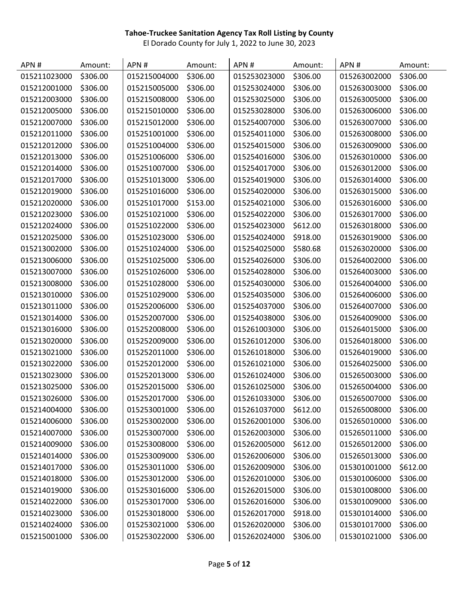| APN#         | Amount:  | APN#         | Amount:  | APN#         | Amount:  | APN#         | Amount:  |
|--------------|----------|--------------|----------|--------------|----------|--------------|----------|
| 015211023000 | \$306.00 | 015215004000 | \$306.00 | 015253023000 | \$306.00 | 015263002000 | \$306.00 |
| 015212001000 | \$306.00 | 015215005000 | \$306.00 | 015253024000 | \$306.00 | 015263003000 | \$306.00 |
| 015212003000 | \$306.00 | 015215008000 | \$306.00 | 015253025000 | \$306.00 | 015263005000 | \$306.00 |
| 015212005000 | \$306.00 | 015215010000 | \$306.00 | 015253028000 | \$306.00 | 015263006000 | \$306.00 |
| 015212007000 | \$306.00 | 015215012000 | \$306.00 | 015254007000 | \$306.00 | 015263007000 | \$306.00 |
| 015212011000 | \$306.00 | 015251001000 | \$306.00 | 015254011000 | \$306.00 | 015263008000 | \$306.00 |
| 015212012000 | \$306.00 | 015251004000 | \$306.00 | 015254015000 | \$306.00 | 015263009000 | \$306.00 |
| 015212013000 | \$306.00 | 015251006000 | \$306.00 | 015254016000 | \$306.00 | 015263010000 | \$306.00 |
| 015212014000 | \$306.00 | 015251007000 | \$306.00 | 015254017000 | \$306.00 | 015263012000 | \$306.00 |
| 015212017000 | \$306.00 | 015251013000 | \$306.00 | 015254019000 | \$306.00 | 015263014000 | \$306.00 |
| 015212019000 | \$306.00 | 015251016000 | \$306.00 | 015254020000 | \$306.00 | 015263015000 | \$306.00 |
| 015212020000 | \$306.00 | 015251017000 | \$153.00 | 015254021000 | \$306.00 | 015263016000 | \$306.00 |
| 015212023000 | \$306.00 | 015251021000 | \$306.00 | 015254022000 | \$306.00 | 015263017000 | \$306.00 |
| 015212024000 | \$306.00 | 015251022000 | \$306.00 | 015254023000 | \$612.00 | 015263018000 | \$306.00 |
| 015212025000 | \$306.00 | 015251023000 | \$306.00 | 015254024000 | \$918.00 | 015263019000 | \$306.00 |
| 015213002000 | \$306.00 | 015251024000 | \$306.00 | 015254025000 | \$580.68 | 015263020000 | \$306.00 |
| 015213006000 | \$306.00 | 015251025000 | \$306.00 | 015254026000 | \$306.00 | 015264002000 | \$306.00 |
| 015213007000 | \$306.00 | 015251026000 | \$306.00 | 015254028000 | \$306.00 | 015264003000 | \$306.00 |
| 015213008000 | \$306.00 | 015251028000 | \$306.00 | 015254030000 | \$306.00 | 015264004000 | \$306.00 |
| 015213010000 | \$306.00 | 015251029000 | \$306.00 | 015254035000 | \$306.00 | 015264006000 | \$306.00 |
| 015213011000 | \$306.00 | 015252006000 | \$306.00 | 015254037000 | \$306.00 | 015264007000 | \$306.00 |
| 015213014000 | \$306.00 | 015252007000 | \$306.00 | 015254038000 | \$306.00 | 015264009000 | \$306.00 |
| 015213016000 | \$306.00 | 015252008000 | \$306.00 | 015261003000 | \$306.00 | 015264015000 | \$306.00 |
| 015213020000 | \$306.00 | 015252009000 | \$306.00 | 015261012000 | \$306.00 | 015264018000 | \$306.00 |
| 015213021000 | \$306.00 | 015252011000 | \$306.00 | 015261018000 | \$306.00 | 015264019000 | \$306.00 |
| 015213022000 | \$306.00 | 015252012000 | \$306.00 | 015261021000 | \$306.00 | 015264025000 | \$306.00 |
| 015213023000 | \$306.00 | 015252013000 | \$306.00 | 015261024000 | \$306.00 | 015265003000 | \$306.00 |
| 015213025000 | \$306.00 | 015252015000 | \$306.00 | 015261025000 | \$306.00 | 015265004000 | \$306.00 |
| 015213026000 | \$306.00 | 015252017000 | \$306.00 | 015261033000 | \$306.00 | 015265007000 | \$306.00 |
| 015214004000 | \$306.00 | 015253001000 | \$306.00 | 015261037000 | \$612.00 | 015265008000 | \$306.00 |
| 015214006000 | \$306.00 | 015253002000 | \$306.00 | 015262001000 | \$306.00 | 015265010000 | \$306.00 |
| 015214007000 | \$306.00 | 015253007000 | \$306.00 | 015262003000 | \$306.00 | 015265011000 | \$306.00 |
| 015214009000 | \$306.00 | 015253008000 | \$306.00 | 015262005000 | \$612.00 | 015265012000 | \$306.00 |
| 015214014000 | \$306.00 | 015253009000 | \$306.00 | 015262006000 | \$306.00 | 015265013000 | \$306.00 |
| 015214017000 | \$306.00 | 015253011000 | \$306.00 | 015262009000 | \$306.00 | 015301001000 | \$612.00 |
| 015214018000 | \$306.00 | 015253012000 | \$306.00 | 015262010000 | \$306.00 | 015301006000 | \$306.00 |
| 015214019000 | \$306.00 | 015253016000 | \$306.00 | 015262015000 | \$306.00 | 015301008000 | \$306.00 |
| 015214022000 | \$306.00 | 015253017000 | \$306.00 | 015262016000 | \$306.00 | 015301009000 | \$306.00 |
| 015214023000 | \$306.00 | 015253018000 | \$306.00 | 015262017000 | \$918.00 | 015301014000 | \$306.00 |
| 015214024000 | \$306.00 | 015253021000 | \$306.00 | 015262020000 | \$306.00 | 015301017000 | \$306.00 |
| 015215001000 | \$306.00 | 015253022000 | \$306.00 | 015262024000 | \$306.00 | 015301021000 | \$306.00 |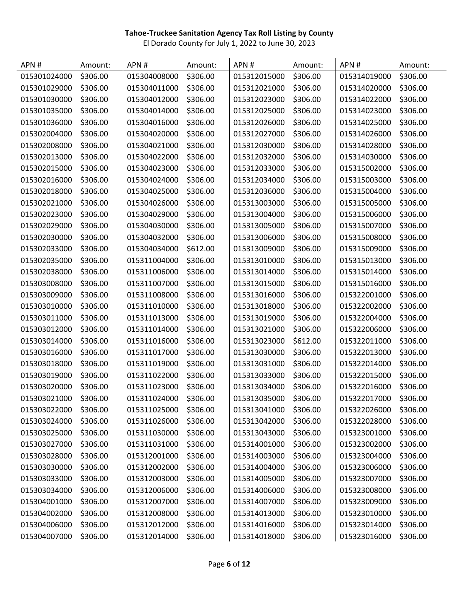| APN#         | Amount:  | APN#         | Amount:  | APN#         | Amount:  | APN#         | Amount:  |
|--------------|----------|--------------|----------|--------------|----------|--------------|----------|
| 015301024000 | \$306.00 | 015304008000 | \$306.00 | 015312015000 | \$306.00 | 015314019000 | \$306.00 |
| 015301029000 | \$306.00 | 015304011000 | \$306.00 | 015312021000 | \$306.00 | 015314020000 | \$306.00 |
| 015301030000 | \$306.00 | 015304012000 | \$306.00 | 015312023000 | \$306.00 | 015314022000 | \$306.00 |
| 015301035000 | \$306.00 | 015304014000 | \$306.00 | 015312025000 | \$306.00 | 015314023000 | \$306.00 |
| 015301036000 | \$306.00 | 015304016000 | \$306.00 | 015312026000 | \$306.00 | 015314025000 | \$306.00 |
| 015302004000 | \$306.00 | 015304020000 | \$306.00 | 015312027000 | \$306.00 | 015314026000 | \$306.00 |
| 015302008000 | \$306.00 | 015304021000 | \$306.00 | 015312030000 | \$306.00 | 015314028000 | \$306.00 |
| 015302013000 | \$306.00 | 015304022000 | \$306.00 | 015312032000 | \$306.00 | 015314030000 | \$306.00 |
| 015302015000 | \$306.00 | 015304023000 | \$306.00 | 015312033000 | \$306.00 | 015315002000 | \$306.00 |
| 015302016000 | \$306.00 | 015304024000 | \$306.00 | 015312034000 | \$306.00 | 015315003000 | \$306.00 |
| 015302018000 | \$306.00 | 015304025000 | \$306.00 | 015312036000 | \$306.00 | 015315004000 | \$306.00 |
| 015302021000 | \$306.00 | 015304026000 | \$306.00 | 015313003000 | \$306.00 | 015315005000 | \$306.00 |
| 015302023000 | \$306.00 | 015304029000 | \$306.00 | 015313004000 | \$306.00 | 015315006000 | \$306.00 |
| 015302029000 | \$306.00 | 015304030000 | \$306.00 | 015313005000 | \$306.00 | 015315007000 | \$306.00 |
| 015302030000 | \$306.00 | 015304032000 | \$306.00 | 015313006000 | \$306.00 | 015315008000 | \$306.00 |
| 015302033000 | \$306.00 | 015304034000 | \$612.00 | 015313009000 | \$306.00 | 015315009000 | \$306.00 |
| 015302035000 | \$306.00 | 015311004000 | \$306.00 | 015313010000 | \$306.00 | 015315013000 | \$306.00 |
| 015302038000 | \$306.00 | 015311006000 | \$306.00 | 015313014000 | \$306.00 | 015315014000 | \$306.00 |
| 015303008000 | \$306.00 | 015311007000 | \$306.00 | 015313015000 | \$306.00 | 015315016000 | \$306.00 |
| 015303009000 | \$306.00 | 015311008000 | \$306.00 | 015313016000 | \$306.00 | 015322001000 | \$306.00 |
| 015303010000 | \$306.00 | 015311010000 | \$306.00 | 015313018000 | \$306.00 | 015322002000 | \$306.00 |
| 015303011000 | \$306.00 | 015311013000 | \$306.00 | 015313019000 | \$306.00 | 015322004000 | \$306.00 |
| 015303012000 | \$306.00 | 015311014000 | \$306.00 | 015313021000 | \$306.00 | 015322006000 | \$306.00 |
| 015303014000 | \$306.00 | 015311016000 | \$306.00 | 015313023000 | \$612.00 | 015322011000 | \$306.00 |
| 015303016000 | \$306.00 | 015311017000 | \$306.00 | 015313030000 | \$306.00 | 015322013000 | \$306.00 |
| 015303018000 | \$306.00 | 015311019000 | \$306.00 | 015313031000 | \$306.00 | 015322014000 | \$306.00 |
| 015303019000 | \$306.00 | 015311022000 | \$306.00 | 015313033000 | \$306.00 | 015322015000 | \$306.00 |
| 015303020000 | \$306.00 | 015311023000 | \$306.00 | 015313034000 | \$306.00 | 015322016000 | \$306.00 |
| 015303021000 | \$306.00 | 015311024000 | \$306.00 | 015313035000 | \$306.00 | 015322017000 | \$306.00 |
| 015303022000 | \$306.00 | 015311025000 | \$306.00 | 015313041000 | \$306.00 | 015322026000 | \$306.00 |
| 015303024000 | \$306.00 | 015311026000 | \$306.00 | 015313042000 | \$306.00 | 015322028000 | \$306.00 |
| 015303025000 | \$306.00 | 015311030000 | \$306.00 | 015313043000 | \$306.00 | 015323001000 | \$306.00 |
| 015303027000 | \$306.00 | 015311031000 | \$306.00 | 015314001000 | \$306.00 | 015323002000 | \$306.00 |
| 015303028000 | \$306.00 | 015312001000 | \$306.00 | 015314003000 | \$306.00 | 015323004000 | \$306.00 |
| 015303030000 | \$306.00 | 015312002000 | \$306.00 | 015314004000 | \$306.00 | 015323006000 | \$306.00 |
| 015303033000 | \$306.00 | 015312003000 | \$306.00 | 015314005000 | \$306.00 | 015323007000 | \$306.00 |
| 015303034000 | \$306.00 | 015312006000 | \$306.00 | 015314006000 | \$306.00 | 015323008000 | \$306.00 |
| 015304001000 | \$306.00 | 015312007000 | \$306.00 | 015314007000 | \$306.00 | 015323009000 | \$306.00 |
| 015304002000 | \$306.00 | 015312008000 | \$306.00 | 015314013000 | \$306.00 | 015323010000 | \$306.00 |
| 015304006000 | \$306.00 | 015312012000 | \$306.00 | 015314016000 | \$306.00 | 015323014000 | \$306.00 |
| 015304007000 | \$306.00 | 015312014000 | \$306.00 | 015314018000 | \$306.00 | 015323016000 | \$306.00 |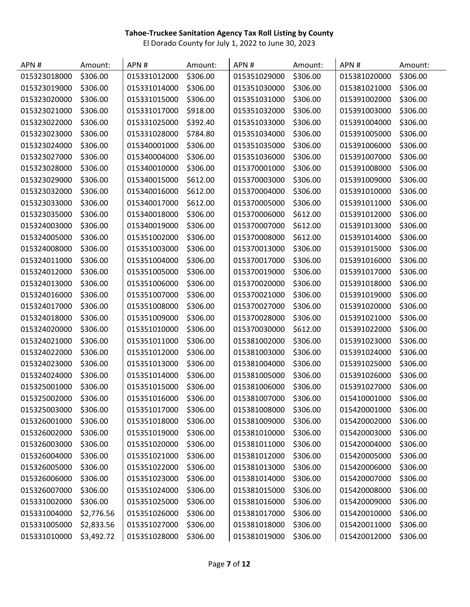| APN#         | Amount:    | APN#         | Amount:  | APN#         | Amount:  | APN#         | Amount:  |
|--------------|------------|--------------|----------|--------------|----------|--------------|----------|
| 015323018000 | \$306.00   | 015331012000 | \$306.00 | 015351029000 | \$306.00 | 015381020000 | \$306.00 |
| 015323019000 | \$306.00   | 015331014000 | \$306.00 | 015351030000 | \$306.00 | 015381021000 | \$306.00 |
| 015323020000 | \$306.00   | 015331015000 | \$306.00 | 015351031000 | \$306.00 | 015391002000 | \$306.00 |
| 015323021000 | \$306.00   | 015331017000 | \$918.00 | 015351032000 | \$306.00 | 015391003000 | \$306.00 |
| 015323022000 | \$306.00   | 015331025000 | \$392.40 | 015351033000 | \$306.00 | 015391004000 | \$306.00 |
| 015323023000 | \$306.00   | 015331028000 | \$784.80 | 015351034000 | \$306.00 | 015391005000 | \$306.00 |
| 015323024000 | \$306.00   | 015340001000 | \$306.00 | 015351035000 | \$306.00 | 015391006000 | \$306.00 |
| 015323027000 | \$306.00   | 015340004000 | \$306.00 | 015351036000 | \$306.00 | 015391007000 | \$306.00 |
| 015323028000 | \$306.00   | 015340010000 | \$306.00 | 015370001000 | \$306.00 | 015391008000 | \$306.00 |
| 015323029000 | \$306.00   | 015340015000 | \$612.00 | 015370003000 | \$306.00 | 015391009000 | \$306.00 |
| 015323032000 | \$306.00   | 015340016000 | \$612.00 | 015370004000 | \$306.00 | 015391010000 | \$306.00 |
| 015323033000 | \$306.00   | 015340017000 | \$612.00 | 015370005000 | \$306.00 | 015391011000 | \$306.00 |
| 015323035000 | \$306.00   | 015340018000 | \$306.00 | 015370006000 | \$612.00 | 015391012000 | \$306.00 |
| 015324003000 | \$306.00   | 015340019000 | \$306.00 | 015370007000 | \$612.00 | 015391013000 | \$306.00 |
| 015324005000 | \$306.00   | 015351002000 | \$306.00 | 015370008000 | \$612.00 | 015391014000 | \$306.00 |
| 015324008000 | \$306.00   | 015351003000 | \$306.00 | 015370013000 | \$306.00 | 015391015000 | \$306.00 |
| 015324011000 | \$306.00   | 015351004000 | \$306.00 | 015370017000 | \$306.00 | 015391016000 | \$306.00 |
| 015324012000 | \$306.00   | 015351005000 | \$306.00 | 015370019000 | \$306.00 | 015391017000 | \$306.00 |
| 015324013000 | \$306.00   | 015351006000 | \$306.00 | 015370020000 | \$306.00 | 015391018000 | \$306.00 |
| 015324016000 | \$306.00   | 015351007000 | \$306.00 | 015370021000 | \$306.00 | 015391019000 | \$306.00 |
| 015324017000 | \$306.00   | 015351008000 | \$306.00 | 015370027000 | \$306.00 | 015391020000 | \$306.00 |
| 015324018000 | \$306.00   | 015351009000 | \$306.00 | 015370028000 | \$306.00 | 015391021000 | \$306.00 |
| 015324020000 | \$306.00   | 015351010000 | \$306.00 | 015370030000 | \$612.00 | 015391022000 | \$306.00 |
| 015324021000 | \$306.00   | 015351011000 | \$306.00 | 015381002000 | \$306.00 | 015391023000 | \$306.00 |
| 015324022000 | \$306.00   | 015351012000 | \$306.00 | 015381003000 | \$306.00 | 015391024000 | \$306.00 |
| 015324023000 | \$306.00   | 015351013000 | \$306.00 | 015381004000 | \$306.00 | 015391025000 | \$306.00 |
| 015324024000 | \$306.00   | 015351014000 | \$306.00 | 015381005000 | \$306.00 | 015391026000 | \$306.00 |
| 015325001000 | \$306.00   | 015351015000 | \$306.00 | 015381006000 | \$306.00 | 015391027000 | \$306.00 |
| 015325002000 | \$306.00   | 015351016000 | \$306.00 | 015381007000 | \$306.00 | 015410001000 | \$306.00 |
| 015325003000 | \$306.00   | 015351017000 | \$306.00 | 015381008000 | \$306.00 | 015420001000 | \$306.00 |
| 015326001000 | \$306.00   | 015351018000 | \$306.00 | 015381009000 | \$306.00 | 015420002000 | \$306.00 |
| 015326002000 | \$306.00   | 015351019000 | \$306.00 | 015381010000 | \$306.00 | 015420003000 | \$306.00 |
| 015326003000 | \$306.00   | 015351020000 | \$306.00 | 015381011000 | \$306.00 | 015420004000 | \$306.00 |
| 015326004000 | \$306.00   | 015351021000 | \$306.00 | 015381012000 | \$306.00 | 015420005000 | \$306.00 |
| 015326005000 | \$306.00   | 015351022000 | \$306.00 | 015381013000 | \$306.00 | 015420006000 | \$306.00 |
| 015326006000 | \$306.00   | 015351023000 | \$306.00 | 015381014000 | \$306.00 | 015420007000 | \$306.00 |
| 015326007000 | \$306.00   | 015351024000 | \$306.00 | 015381015000 | \$306.00 | 015420008000 | \$306.00 |
| 015331002000 | \$306.00   | 015351025000 | \$306.00 | 015381016000 | \$306.00 | 015420009000 | \$306.00 |
| 015331004000 | \$2,776.56 | 015351026000 | \$306.00 | 015381017000 | \$306.00 | 015420010000 | \$306.00 |
| 015331005000 | \$2,833.56 | 015351027000 | \$306.00 | 015381018000 | \$306.00 | 015420011000 | \$306.00 |
| 015331010000 | \$3,492.72 | 015351028000 | \$306.00 | 015381019000 | \$306.00 | 015420012000 | \$306.00 |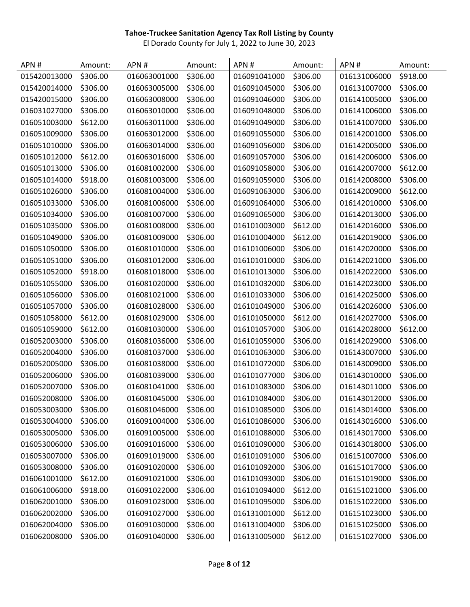| APN#         | Amount:  | APN#         | Amount:  | APN#         | Amount:  | APN#         | Amount:  |
|--------------|----------|--------------|----------|--------------|----------|--------------|----------|
| 015420013000 | \$306.00 | 016063001000 | \$306.00 | 016091041000 | \$306.00 | 016131006000 | \$918.00 |
| 015420014000 | \$306.00 | 016063005000 | \$306.00 | 016091045000 | \$306.00 | 016131007000 | \$306.00 |
| 015420015000 | \$306.00 | 016063008000 | \$306.00 | 016091046000 | \$306.00 | 016141005000 | \$306.00 |
| 016031027000 | \$306.00 | 016063010000 | \$306.00 | 016091048000 | \$306.00 | 016141006000 | \$306.00 |
| 016051003000 | \$612.00 | 016063011000 | \$306.00 | 016091049000 | \$306.00 | 016141007000 | \$306.00 |
| 016051009000 | \$306.00 | 016063012000 | \$306.00 | 016091055000 | \$306.00 | 016142001000 | \$306.00 |
| 016051010000 | \$306.00 | 016063014000 | \$306.00 | 016091056000 | \$306.00 | 016142005000 | \$306.00 |
| 016051012000 | \$612.00 | 016063016000 | \$306.00 | 016091057000 | \$306.00 | 016142006000 | \$306.00 |
| 016051013000 | \$306.00 | 016081002000 | \$306.00 | 016091058000 | \$306.00 | 016142007000 | \$612.00 |
| 016051014000 | \$918.00 | 016081003000 | \$306.00 | 016091059000 | \$306.00 | 016142008000 | \$306.00 |
| 016051026000 | \$306.00 | 016081004000 | \$306.00 | 016091063000 | \$306.00 | 016142009000 | \$612.00 |
| 016051033000 | \$306.00 | 016081006000 | \$306.00 | 016091064000 | \$306.00 | 016142010000 | \$306.00 |
| 016051034000 | \$306.00 | 016081007000 | \$306.00 | 016091065000 | \$306.00 | 016142013000 | \$306.00 |
| 016051035000 | \$306.00 | 016081008000 | \$306.00 | 016101003000 | \$612.00 | 016142016000 | \$306.00 |
| 016051049000 | \$306.00 | 016081009000 | \$306.00 | 016101004000 | \$612.00 | 016142019000 | \$306.00 |
| 016051050000 | \$306.00 | 016081010000 | \$306.00 | 016101006000 | \$306.00 | 016142020000 | \$306.00 |
| 016051051000 | \$306.00 | 016081012000 | \$306.00 | 016101010000 | \$306.00 | 016142021000 | \$306.00 |
| 016051052000 | \$918.00 | 016081018000 | \$306.00 | 016101013000 | \$306.00 | 016142022000 | \$306.00 |
| 016051055000 | \$306.00 | 016081020000 | \$306.00 | 016101032000 | \$306.00 | 016142023000 | \$306.00 |
| 016051056000 | \$306.00 | 016081021000 | \$306.00 | 016101033000 | \$306.00 | 016142025000 | \$306.00 |
| 016051057000 | \$306.00 | 016081028000 | \$306.00 | 016101049000 | \$306.00 | 016142026000 | \$306.00 |
| 016051058000 | \$612.00 | 016081029000 | \$306.00 | 016101050000 | \$612.00 | 016142027000 | \$306.00 |
| 016051059000 | \$612.00 | 016081030000 | \$306.00 | 016101057000 | \$306.00 | 016142028000 | \$612.00 |
| 016052003000 | \$306.00 | 016081036000 | \$306.00 | 016101059000 | \$306.00 | 016142029000 | \$306.00 |
| 016052004000 | \$306.00 | 016081037000 | \$306.00 | 016101063000 | \$306.00 | 016143007000 | \$306.00 |
| 016052005000 | \$306.00 | 016081038000 | \$306.00 | 016101072000 | \$306.00 | 016143009000 | \$306.00 |
| 016052006000 | \$306.00 | 016081039000 | \$306.00 | 016101077000 | \$306.00 | 016143010000 | \$306.00 |
| 016052007000 | \$306.00 | 016081041000 | \$306.00 | 016101083000 | \$306.00 | 016143011000 | \$306.00 |
| 016052008000 | \$306.00 | 016081045000 | \$306.00 | 016101084000 | \$306.00 | 016143012000 | \$306.00 |
| 016053003000 | \$306.00 | 016081046000 | \$306.00 | 016101085000 | \$306.00 | 016143014000 | \$306.00 |
| 016053004000 | \$306.00 | 016091004000 | \$306.00 | 016101086000 | \$306.00 | 016143016000 | \$306.00 |
| 016053005000 | \$306.00 | 016091005000 | \$306.00 | 016101088000 | \$306.00 | 016143017000 | \$306.00 |
| 016053006000 | \$306.00 | 016091016000 | \$306.00 | 016101090000 | \$306.00 | 016143018000 | \$306.00 |
| 016053007000 | \$306.00 | 016091019000 | \$306.00 | 016101091000 | \$306.00 | 016151007000 | \$306.00 |
| 016053008000 | \$306.00 | 016091020000 | \$306.00 | 016101092000 | \$306.00 | 016151017000 | \$306.00 |
| 016061001000 | \$612.00 | 016091021000 | \$306.00 | 016101093000 | \$306.00 | 016151019000 | \$306.00 |
| 016061006000 | \$918.00 | 016091022000 | \$306.00 | 016101094000 | \$612.00 | 016151021000 | \$306.00 |
| 016062001000 | \$306.00 | 016091023000 | \$306.00 | 016101095000 | \$306.00 | 016151022000 | \$306.00 |
| 016062002000 | \$306.00 | 016091027000 | \$306.00 | 016131001000 | \$612.00 | 016151023000 | \$306.00 |
| 016062004000 | \$306.00 | 016091030000 | \$306.00 | 016131004000 | \$306.00 | 016151025000 | \$306.00 |
| 016062008000 | \$306.00 | 016091040000 | \$306.00 | 016131005000 | \$612.00 | 016151027000 | \$306.00 |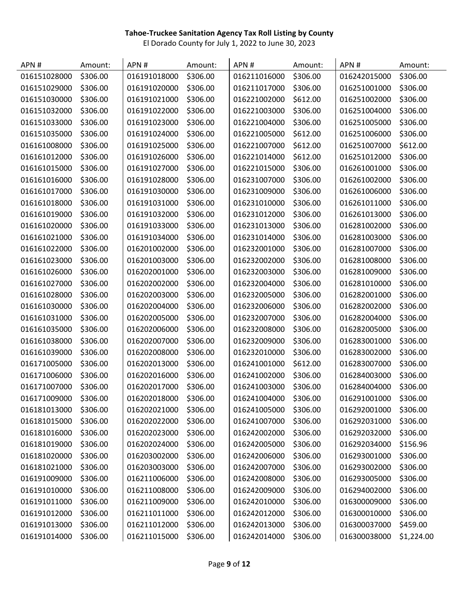| APN#         | Amount:  | APN#         | Amount:  | APN#         | Amount:  | APN#         | Amount:    |
|--------------|----------|--------------|----------|--------------|----------|--------------|------------|
| 016151028000 | \$306.00 | 016191018000 | \$306.00 | 016211016000 | \$306.00 | 016242015000 | \$306.00   |
| 016151029000 | \$306.00 | 016191020000 | \$306.00 | 016211017000 | \$306.00 | 016251001000 | \$306.00   |
| 016151030000 | \$306.00 | 016191021000 | \$306.00 | 016221002000 | \$612.00 | 016251002000 | \$306.00   |
| 016151032000 | \$306.00 | 016191022000 | \$306.00 | 016221003000 | \$306.00 | 016251004000 | \$306.00   |
| 016151033000 | \$306.00 | 016191023000 | \$306.00 | 016221004000 | \$306.00 | 016251005000 | \$306.00   |
| 016151035000 | \$306.00 | 016191024000 | \$306.00 | 016221005000 | \$612.00 | 016251006000 | \$306.00   |
| 016161008000 | \$306.00 | 016191025000 | \$306.00 | 016221007000 | \$612.00 | 016251007000 | \$612.00   |
| 016161012000 | \$306.00 | 016191026000 | \$306.00 | 016221014000 | \$612.00 | 016251012000 | \$306.00   |
| 016161015000 | \$306.00 | 016191027000 | \$306.00 | 016221015000 | \$306.00 | 016261001000 | \$306.00   |
| 016161016000 | \$306.00 | 016191028000 | \$306.00 | 016231007000 | \$306.00 | 016261002000 | \$306.00   |
| 016161017000 | \$306.00 | 016191030000 | \$306.00 | 016231009000 | \$306.00 | 016261006000 | \$306.00   |
| 016161018000 | \$306.00 | 016191031000 | \$306.00 | 016231010000 | \$306.00 | 016261011000 | \$306.00   |
| 016161019000 | \$306.00 | 016191032000 | \$306.00 | 016231012000 | \$306.00 | 016261013000 | \$306.00   |
| 016161020000 | \$306.00 | 016191033000 | \$306.00 | 016231013000 | \$306.00 | 016281002000 | \$306.00   |
| 016161021000 | \$306.00 | 016191034000 | \$306.00 | 016231014000 | \$306.00 | 016281003000 | \$306.00   |
| 016161022000 | \$306.00 | 016201002000 | \$306.00 | 016232001000 | \$306.00 | 016281007000 | \$306.00   |
| 016161023000 | \$306.00 | 016201003000 | \$306.00 | 016232002000 | \$306.00 | 016281008000 | \$306.00   |
| 016161026000 | \$306.00 | 016202001000 | \$306.00 | 016232003000 | \$306.00 | 016281009000 | \$306.00   |
| 016161027000 | \$306.00 | 016202002000 | \$306.00 | 016232004000 | \$306.00 | 016281010000 | \$306.00   |
| 016161028000 | \$306.00 | 016202003000 | \$306.00 | 016232005000 | \$306.00 | 016282001000 | \$306.00   |
| 016161030000 | \$306.00 | 016202004000 | \$306.00 | 016232006000 | \$306.00 | 016282002000 | \$306.00   |
| 016161031000 | \$306.00 | 016202005000 | \$306.00 | 016232007000 | \$306.00 | 016282004000 | \$306.00   |
| 016161035000 | \$306.00 | 016202006000 | \$306.00 | 016232008000 | \$306.00 | 016282005000 | \$306.00   |
| 016161038000 | \$306.00 | 016202007000 | \$306.00 | 016232009000 | \$306.00 | 016283001000 | \$306.00   |
| 016161039000 | \$306.00 | 016202008000 | \$306.00 | 016232010000 | \$306.00 | 016283002000 | \$306.00   |
| 016171005000 | \$306.00 | 016202013000 | \$306.00 | 016241001000 | \$612.00 | 016283007000 | \$306.00   |
| 016171006000 | \$306.00 | 016202016000 | \$306.00 | 016241002000 | \$306.00 | 016284003000 | \$306.00   |
| 016171007000 | \$306.00 | 016202017000 | \$306.00 | 016241003000 | \$306.00 | 016284004000 | \$306.00   |
| 016171009000 | \$306.00 | 016202018000 | \$306.00 | 016241004000 | \$306.00 | 016291001000 | \$306.00   |
| 016181013000 | \$306.00 | 016202021000 | \$306.00 | 016241005000 | \$306.00 | 016292001000 | \$306.00   |
| 016181015000 | \$306.00 | 016202022000 | \$306.00 | 016241007000 | \$306.00 | 016292031000 | \$306.00   |
| 016181016000 | \$306.00 | 016202023000 | \$306.00 | 016242002000 | \$306.00 | 016292032000 | \$306.00   |
| 016181019000 | \$306.00 | 016202024000 | \$306.00 | 016242005000 | \$306.00 | 016292034000 | \$156.96   |
| 016181020000 | \$306.00 | 016203002000 | \$306.00 | 016242006000 | \$306.00 | 016293001000 | \$306.00   |
| 016181021000 | \$306.00 | 016203003000 | \$306.00 | 016242007000 | \$306.00 | 016293002000 | \$306.00   |
| 016191009000 | \$306.00 | 016211006000 | \$306.00 | 016242008000 | \$306.00 | 016293005000 | \$306.00   |
| 016191010000 | \$306.00 | 016211008000 | \$306.00 | 016242009000 | \$306.00 | 016294002000 | \$306.00   |
| 016191011000 | \$306.00 | 016211009000 | \$306.00 | 016242010000 | \$306.00 | 016300009000 | \$306.00   |
| 016191012000 | \$306.00 | 016211011000 | \$306.00 | 016242012000 | \$306.00 | 016300010000 | \$306.00   |
| 016191013000 | \$306.00 | 016211012000 | \$306.00 | 016242013000 | \$306.00 | 016300037000 | \$459.00   |
| 016191014000 | \$306.00 | 016211015000 | \$306.00 | 016242014000 | \$306.00 | 016300038000 | \$1,224.00 |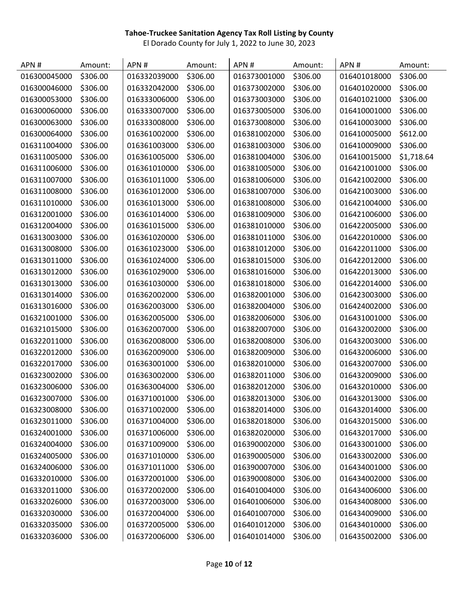| APN#         | Amount:  | APN#         | Amount:  | APN#         | Amount:  | APN#         | Amount:    |
|--------------|----------|--------------|----------|--------------|----------|--------------|------------|
| 016300045000 | \$306.00 | 016332039000 | \$306.00 | 016373001000 | \$306.00 | 016401018000 | \$306.00   |
| 016300046000 | \$306.00 | 016332042000 | \$306.00 | 016373002000 | \$306.00 | 016401020000 | \$306.00   |
| 016300053000 | \$306.00 | 016333006000 | \$306.00 | 016373003000 | \$306.00 | 016401021000 | \$306.00   |
| 016300060000 | \$306.00 | 016333007000 | \$306.00 | 016373005000 | \$306.00 | 016410001000 | \$306.00   |
| 016300063000 | \$306.00 | 016333008000 | \$306.00 | 016373008000 | \$306.00 | 016410003000 | \$306.00   |
| 016300064000 | \$306.00 | 016361002000 | \$306.00 | 016381002000 | \$306.00 | 016410005000 | \$612.00   |
| 016311004000 | \$306.00 | 016361003000 | \$306.00 | 016381003000 | \$306.00 | 016410009000 | \$306.00   |
| 016311005000 | \$306.00 | 016361005000 | \$306.00 | 016381004000 | \$306.00 | 016410015000 | \$1,718.64 |
| 016311006000 | \$306.00 | 016361010000 | \$306.00 | 016381005000 | \$306.00 | 016421001000 | \$306.00   |
| 016311007000 | \$306.00 | 016361011000 | \$306.00 | 016381006000 | \$306.00 | 016421002000 | \$306.00   |
| 016311008000 | \$306.00 | 016361012000 | \$306.00 | 016381007000 | \$306.00 | 016421003000 | \$306.00   |
| 016311010000 | \$306.00 | 016361013000 | \$306.00 | 016381008000 | \$306.00 | 016421004000 | \$306.00   |
| 016312001000 | \$306.00 | 016361014000 | \$306.00 | 016381009000 | \$306.00 | 016421006000 | \$306.00   |
| 016312004000 | \$306.00 | 016361015000 | \$306.00 | 016381010000 | \$306.00 | 016422005000 | \$306.00   |
| 016313003000 | \$306.00 | 016361020000 | \$306.00 | 016381011000 | \$306.00 | 016422010000 | \$306.00   |
| 016313008000 | \$306.00 | 016361023000 | \$306.00 | 016381012000 | \$306.00 | 016422011000 | \$306.00   |
| 016313011000 | \$306.00 | 016361024000 | \$306.00 | 016381015000 | \$306.00 | 016422012000 | \$306.00   |
| 016313012000 | \$306.00 | 016361029000 | \$306.00 | 016381016000 | \$306.00 | 016422013000 | \$306.00   |
| 016313013000 | \$306.00 | 016361030000 | \$306.00 | 016381018000 | \$306.00 | 016422014000 | \$306.00   |
| 016313014000 | \$306.00 | 016362002000 | \$306.00 | 016382001000 | \$306.00 | 016423003000 | \$306.00   |
| 016313016000 | \$306.00 | 016362003000 | \$306.00 | 016382004000 | \$306.00 | 016424002000 | \$306.00   |
| 016321001000 | \$306.00 | 016362005000 | \$306.00 | 016382006000 | \$306.00 | 016431001000 | \$306.00   |
| 016321015000 | \$306.00 | 016362007000 | \$306.00 | 016382007000 | \$306.00 | 016432002000 | \$306.00   |
| 016322011000 | \$306.00 | 016362008000 | \$306.00 | 016382008000 | \$306.00 | 016432003000 | \$306.00   |
| 016322012000 | \$306.00 | 016362009000 | \$306.00 | 016382009000 | \$306.00 | 016432006000 | \$306.00   |
| 016322017000 | \$306.00 | 016363001000 | \$306.00 | 016382010000 | \$306.00 | 016432007000 | \$306.00   |
| 016323002000 | \$306.00 | 016363002000 | \$306.00 | 016382011000 | \$306.00 | 016432009000 | \$306.00   |
| 016323006000 | \$306.00 | 016363004000 | \$306.00 | 016382012000 | \$306.00 | 016432010000 | \$306.00   |
| 016323007000 | \$306.00 | 016371001000 | \$306.00 | 016382013000 | \$306.00 | 016432013000 | \$306.00   |
| 016323008000 | \$306.00 | 016371002000 | \$306.00 | 016382014000 | \$306.00 | 016432014000 | \$306.00   |
| 016323011000 | \$306.00 | 016371004000 | \$306.00 | 016382018000 | \$306.00 | 016432015000 | \$306.00   |
| 016324001000 | \$306.00 | 016371006000 | \$306.00 | 016382020000 | \$306.00 | 016432017000 | \$306.00   |
| 016324004000 | \$306.00 | 016371009000 | \$306.00 | 016390002000 | \$306.00 | 016433001000 | \$306.00   |
| 016324005000 | \$306.00 | 016371010000 | \$306.00 | 016390005000 | \$306.00 | 016433002000 | \$306.00   |
| 016324006000 | \$306.00 | 016371011000 | \$306.00 | 016390007000 | \$306.00 | 016434001000 | \$306.00   |
| 016332010000 | \$306.00 | 016372001000 | \$306.00 | 016390008000 | \$306.00 | 016434002000 | \$306.00   |
| 016332011000 | \$306.00 | 016372002000 | \$306.00 | 016401004000 | \$306.00 | 016434006000 | \$306.00   |
| 016332026000 | \$306.00 | 016372003000 | \$306.00 | 016401006000 | \$306.00 | 016434008000 | \$306.00   |
| 016332030000 | \$306.00 | 016372004000 | \$306.00 | 016401007000 | \$306.00 | 016434009000 | \$306.00   |
| 016332035000 | \$306.00 | 016372005000 | \$306.00 | 016401012000 | \$306.00 | 016434010000 | \$306.00   |
| 016332036000 | \$306.00 | 016372006000 | \$306.00 | 016401014000 | \$306.00 | 016435002000 | \$306.00   |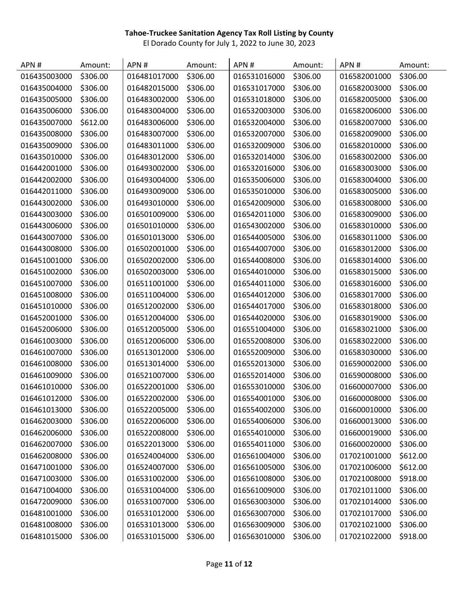| APN#         | Amount:  | APN#         | Amount:  | APN#         | Amount:  | APN#         | Amount:  |
|--------------|----------|--------------|----------|--------------|----------|--------------|----------|
| 016435003000 | \$306.00 | 016481017000 | \$306.00 | 016531016000 | \$306.00 | 016582001000 | \$306.00 |
| 016435004000 | \$306.00 | 016482015000 | \$306.00 | 016531017000 | \$306.00 | 016582003000 | \$306.00 |
| 016435005000 | \$306.00 | 016483002000 | \$306.00 | 016531018000 | \$306.00 | 016582005000 | \$306.00 |
| 016435006000 | \$306.00 | 016483004000 | \$306.00 | 016532003000 | \$306.00 | 016582006000 | \$306.00 |
| 016435007000 | \$612.00 | 016483006000 | \$306.00 | 016532004000 | \$306.00 | 016582007000 | \$306.00 |
| 016435008000 | \$306.00 | 016483007000 | \$306.00 | 016532007000 | \$306.00 | 016582009000 | \$306.00 |
| 016435009000 | \$306.00 | 016483011000 | \$306.00 | 016532009000 | \$306.00 | 016582010000 | \$306.00 |
| 016435010000 | \$306.00 | 016483012000 | \$306.00 | 016532014000 | \$306.00 | 016583002000 | \$306.00 |
| 016442001000 | \$306.00 | 016493002000 | \$306.00 | 016532016000 | \$306.00 | 016583003000 | \$306.00 |
| 016442002000 | \$306.00 | 016493004000 | \$306.00 | 016535006000 | \$306.00 | 016583004000 | \$306.00 |
| 016442011000 | \$306.00 | 016493009000 | \$306.00 | 016535010000 | \$306.00 | 016583005000 | \$306.00 |
| 016443002000 | \$306.00 | 016493010000 | \$306.00 | 016542009000 | \$306.00 | 016583008000 | \$306.00 |
| 016443003000 | \$306.00 | 016501009000 | \$306.00 | 016542011000 | \$306.00 | 016583009000 | \$306.00 |
| 016443006000 | \$306.00 | 016501010000 | \$306.00 | 016543002000 | \$306.00 | 016583010000 | \$306.00 |
| 016443007000 | \$306.00 | 016501013000 | \$306.00 | 016544005000 | \$306.00 | 016583011000 | \$306.00 |
| 016443008000 | \$306.00 | 016502001000 | \$306.00 | 016544007000 | \$306.00 | 016583012000 | \$306.00 |
| 016451001000 | \$306.00 | 016502002000 | \$306.00 | 016544008000 | \$306.00 | 016583014000 | \$306.00 |
| 016451002000 | \$306.00 | 016502003000 | \$306.00 | 016544010000 | \$306.00 | 016583015000 | \$306.00 |
| 016451007000 | \$306.00 | 016511001000 | \$306.00 | 016544011000 | \$306.00 | 016583016000 | \$306.00 |
| 016451008000 | \$306.00 | 016511004000 | \$306.00 | 016544012000 | \$306.00 | 016583017000 | \$306.00 |
| 016451010000 | \$306.00 | 016512002000 | \$306.00 | 016544017000 | \$306.00 | 016583018000 | \$306.00 |
| 016452001000 | \$306.00 | 016512004000 | \$306.00 | 016544020000 | \$306.00 | 016583019000 | \$306.00 |
| 016452006000 | \$306.00 | 016512005000 | \$306.00 | 016551004000 | \$306.00 | 016583021000 | \$306.00 |
| 016461003000 | \$306.00 | 016512006000 | \$306.00 | 016552008000 | \$306.00 | 016583022000 | \$306.00 |
| 016461007000 | \$306.00 | 016513012000 | \$306.00 | 016552009000 | \$306.00 | 016583030000 | \$306.00 |
| 016461008000 | \$306.00 | 016513014000 | \$306.00 | 016552013000 | \$306.00 | 016590002000 | \$306.00 |
| 016461009000 | \$306.00 | 016521007000 | \$306.00 | 016552014000 | \$306.00 | 016590008000 | \$306.00 |
| 016461010000 | \$306.00 | 016522001000 | \$306.00 | 016553010000 | \$306.00 | 016600007000 | \$306.00 |
| 016461012000 | \$306.00 | 016522002000 | \$306.00 | 016554001000 | \$306.00 | 016600008000 | \$306.00 |
| 016461013000 | \$306.00 | 016522005000 | \$306.00 | 016554002000 | \$306.00 | 016600010000 | \$306.00 |
| 016462003000 | \$306.00 | 016522006000 | \$306.00 | 016554006000 | \$306.00 | 016600013000 | \$306.00 |
| 016462006000 | \$306.00 | 016522008000 | \$306.00 | 016554010000 | \$306.00 | 016600019000 | \$306.00 |
| 016462007000 | \$306.00 | 016522013000 | \$306.00 | 016554011000 | \$306.00 | 016600020000 | \$306.00 |
| 016462008000 | \$306.00 | 016524004000 | \$306.00 | 016561004000 | \$306.00 | 017021001000 | \$612.00 |
| 016471001000 | \$306.00 | 016524007000 | \$306.00 | 016561005000 | \$306.00 | 017021006000 | \$612.00 |
| 016471003000 | \$306.00 | 016531002000 | \$306.00 | 016561008000 | \$306.00 | 017021008000 | \$918.00 |
| 016471004000 | \$306.00 | 016531004000 | \$306.00 | 016561009000 | \$306.00 | 017021011000 | \$306.00 |
| 016472009000 | \$306.00 | 016531007000 | \$306.00 | 016563003000 | \$306.00 | 017021014000 | \$306.00 |
| 016481001000 | \$306.00 | 016531012000 | \$306.00 | 016563007000 | \$306.00 | 017021017000 | \$306.00 |
| 016481008000 | \$306.00 | 016531013000 | \$306.00 | 016563009000 | \$306.00 | 017021021000 | \$306.00 |
| 016481015000 | \$306.00 | 016531015000 | \$306.00 | 016563010000 | \$306.00 | 017021022000 | \$918.00 |